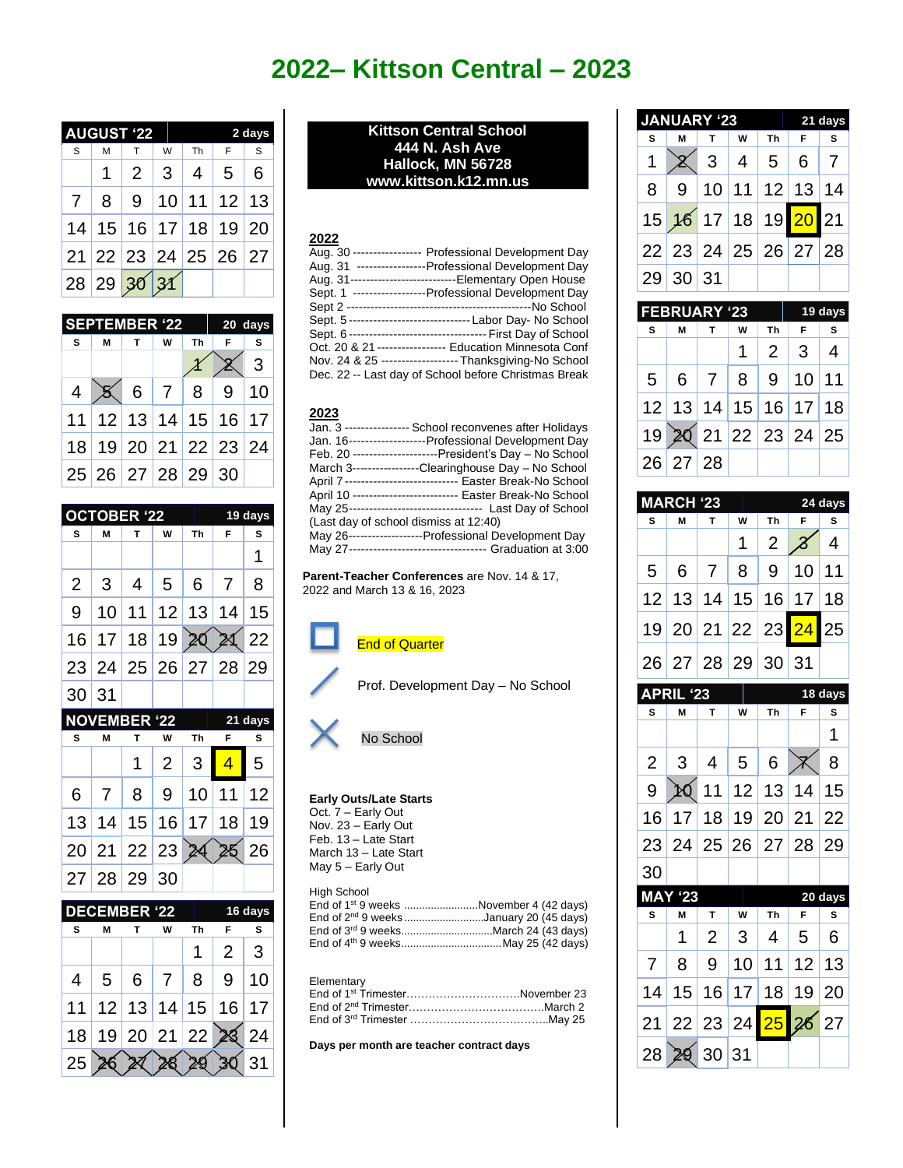# **2022– Kittson Central – 2023**

| <b>JGUST '22</b><br>Δ |   | 2 days      |   |                |                           |     |
|-----------------------|---|-------------|---|----------------|---------------------------|-----|
| S                     | M | T           | W | Th             | F                         | S   |
|                       |   | 2           | 3 | $\overline{4}$ | $5\overline{)}$           | - 6 |
| 7 <sup>1</sup>        |   |             |   |                | 8   9   10   11   12   13 |     |
|                       |   |             |   |                | 14 15 16 17 18 19 20      |     |
|                       |   |             |   |                | 21 22 23 24 25 26 27      |     |
|                       |   | 28 29 30 31 |   |                |                           |     |

|                | <b>SEPTEMBER '22</b> |              |   | 20 days |                      |   |  |
|----------------|----------------------|--------------|---|---------|----------------------|---|--|
| s.             | М                    | $\mathbf{T}$ | W | Th      |                      | s |  |
|                |                      |              |   |         |                      | 3 |  |
| $\overline{4}$ |                      |              |   |         | 6 7 8 9 10           |   |  |
|                |                      |              |   |         | 11 12 13 14 15 16 17 |   |  |
|                |                      |              |   |         | 18 19 20 21 22 23 24 |   |  |
|                | 25 26 27 28 29 30    |              |   |         |                      |   |  |

|                |                | <b>OCTOBER '22</b>  |    |    | 19 days |      |
|----------------|----------------|---------------------|----|----|---------|------|
| s              | M              | т                   | W  | Th | F       | s    |
|                |                |                     |    |    |         | 1    |
| $\overline{2}$ | 3              | 4                   | 5  | 6  | 7       | 8    |
| 9              | 10             | 11                  | 12 | 13 | 14      | 15   |
| 16             | 17             | 18                  | 19 |    |         | 22   |
| 23             | 24             | 25                  | 26 | 27 | 28      | 29   |
| 30             | 31             |                     |    |    |         |      |
|                |                | <b>NOVEMBER '22</b> |    |    | 21      | days |
| S              | M              | т                   | W  | Th | F       | S    |
|                |                | 1                   | 2  | 3  | 4       | 5    |
| 6              | $\overline{7}$ | 8                   | 9  | 10 | 11      | 12   |
| 13             | 14             | 15                  | 16 | 17 | 18      | 19   |
| 20             | 21             | 22                  | 23 |    |         | 26   |
| 27             | 28             | 29                  | 30 |    |         |      |



**Kittson Central School 444 N. Ash Ave Hallock, MN 56728 www.kittson.k12.mn.us**

## **2022**

|             | Aug. 30 ---------------- Professional Development Day       |
|-------------|-------------------------------------------------------------|
| Aug. 31     | -----------------Professional Development Day               |
|             | Aug. 31---------------------------Elementary Open House     |
| Sept. 1     | ------------------Professional Development Day              |
| Sept 2 ---- |                                                             |
|             | Sept. 5------------------------------- Labor Day- No School |
| Sept. 6-    |                                                             |
|             | Oct. 20 & 21 ----------------- Education Minnesota Conf     |
|             | Nov. 24 & 25 ------------------- Thanksgiving-No School     |
|             | Dec. 22 -- Last day of School before Christmas Break        |

### **2023**

|                                       | School reconvenes after Holidays                            |
|---------------------------------------|-------------------------------------------------------------|
|                                       | Jan. 16-------------------Professional Development Day      |
|                                       | Feb. 20 ---------------------President's Day – No School    |
|                                       | March 3----------------Clearinghouse Day - No School        |
|                                       |                                                             |
|                                       |                                                             |
|                                       |                                                             |
| (Last day of school dismiss at 12:40) |                                                             |
|                                       | May 26-------------------Professional Development Day       |
|                                       | May 27---------------------------------- Graduation at 3:00 |

**Parent-Teacher Conferences** are Nov. 14 & 17, 2022 and March 13 & 16, 2023



Prof. Development Day – No School



#### **Early Outs/Late Starts**

Oct. 7 – Early Out Nov. 23 – Early Out Feb. 13 – Late Start March 13 – Late Start May 5 – Early Out

| High School |                                                     |
|-------------|-----------------------------------------------------|
|             | End of 1 <sup>st</sup> 9 weeks November 4 (42 days) |
|             | End of 2 <sup>nd</sup> 9 weeksJanuary 20 (45 days)  |
|             | End of 3 <sup>rd</sup> 9 weeksMarch 24 (43 days)    |
|             | End of 4 <sup>th</sup> 9 weeksMay 25 (42 days)      |

### Elementary

| End of 1st TrimesterNovember 23 |  |
|---------------------------------|--|
|                                 |  |
|                                 |  |

**Days per month are teacher contract days**

| <b>JANUARY '23</b> |          |                            |                |    |            | 21 days |
|--------------------|----------|----------------------------|----------------|----|------------|---------|
| s                  | м        |                            | W              | Тh | F          | s       |
|                    |          | 3                          | $\overline{4}$ |    | $5 \mid 6$ | 7       |
| 8                  |          | 9   10   11   12   13   14 |                |    |            |         |
|                    |          | 15 16 17 18 19 20 21       |                |    |            |         |
|                    |          | 22 23 24 25 26 27 28       |                |    |            |         |
|                    | 29 30 31 |                            |                |    |            |         |

|   | <b>FEBRUARY '23</b> |              |   | 19 days |                      |          |
|---|---------------------|--------------|---|---------|----------------------|----------|
| s | M                   | $\mathbf{T}$ | W | Th      | - F                  | <b>S</b> |
|   |                     |              | 1 |         | $2 \mid 3 \mid 4$    |          |
|   |                     |              |   |         | 5 6 7 8 9 10 11      |          |
|   |                     |              |   |         | 12 13 14 15 16 17 18 |          |
|   |                     |              |   |         | 19 20 21 22 23 24 25 |          |
|   | 26 27 28            |              |   |         |                      |          |

|                | <b>MARCH</b><br>$\overline{23}$<br>24 days |    |    |                |                          |           |  |
|----------------|--------------------------------------------|----|----|----------------|--------------------------|-----------|--|
| Ś              | M                                          | т  | W  | Th             | F                        | S         |  |
|                |                                            |    | 1  | $\overline{2}$ | 8                        | 4         |  |
| 5              | 6                                          | 7  | 8  | 9              | 10                       | 11        |  |
| 12             | 13                                         | 14 | 15 | 16             | 17                       | 18        |  |
| 19             | 20                                         | 21 | 22 | 23             | $\overline{24}$          | 25        |  |
| 26             | 27                                         | 28 | 29 | 30             | 31                       |           |  |
|                | <b>APRIL '23</b>                           |    |    |                |                          | $18$ days |  |
| S              | M                                          | T  | W  | Th             | F                        | S         |  |
|                |                                            |    |    |                |                          | 1         |  |
| $\overline{2}$ | 3                                          | 4  | 5  | 6              |                          | 8         |  |
| 9              | HQ                                         | 11 | 12 | 13             | 14                       | 15        |  |
| 16             | 17                                         | 18 | 19 | 20             | 21                       | 22        |  |
| 23             | 24                                         | 25 | 26 | 27             | 28                       | 29        |  |
| 30             |                                            |    |    |                |                          |           |  |
| <b>MAY</b>     | 23                                         |    |    |                |                          | 20 days   |  |
| S              | M                                          | T  | W  | Th             | F                        | S         |  |
|                | 1                                          | 2  | 3  | 4              | 5                        | 6         |  |
| $\overline{7}$ | 8                                          | 9  | 10 | 11             | 12                       | 13        |  |
| 14             | 15                                         | 16 | 17 | 18             | 19                       | 20        |  |
| 21             | 22                                         | 23 | 24 | 25             | $\overline{\mathbf{26}}$ | 27        |  |
| 28             | ð                                          | 30 | 31 |                |                          |           |  |